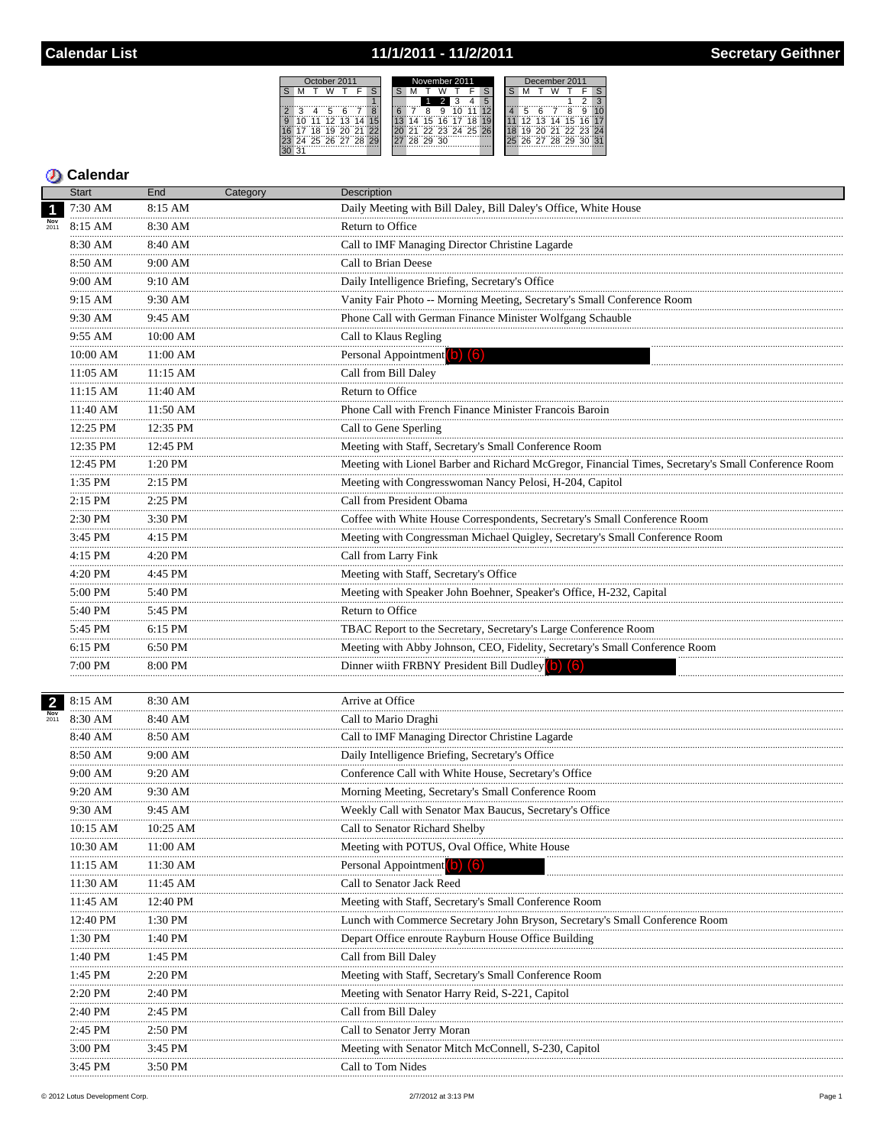# 11/1/2011 - 11/2/2011

| October 2011           | November 2011 | December 2011                        |  |  |  |  |  |  |  |
|------------------------|---------------|--------------------------------------|--|--|--|--|--|--|--|
|                        |               |                                      |  |  |  |  |  |  |  |
|                        |               |                                      |  |  |  |  |  |  |  |
| 8                      |               |                                      |  |  |  |  |  |  |  |
| $\Omega$<br>15<br>13   | 15<br>16      | 16 <sup>1</sup><br>14 15<br>12<br>13 |  |  |  |  |  |  |  |
| ∂?                     | '91           | 20 21 22 23 24                       |  |  |  |  |  |  |  |
| 29<br>4 25 26 27<br>28 | 28 29 30      | 26 27 28 29<br>?∩                    |  |  |  |  |  |  |  |
|                        |               |                                      |  |  |  |  |  |  |  |
|                        |               |                                      |  |  |  |  |  |  |  |

|                         | <b>Start</b>  | End                | Category | Description                                                                                         |
|-------------------------|---------------|--------------------|----------|-----------------------------------------------------------------------------------------------------|
| $\overline{\mathbf{1}}$ | 7:30 AM       | 8:15 AM            |          | Daily Meeting with Bill Daley, Bill Daley's Office, White House                                     |
|                         | 8:15 AM       | 8:30 AM            |          | Return to Office                                                                                    |
|                         | 8:30 AM       | 8:40 AM            |          | Call to IMF Managing Director Christine Lagarde                                                     |
|                         | 8:50 AM       | $9:00~\mathrm{AM}$ |          | Call to Brian Deese                                                                                 |
|                         | 9:00 AM       | 9:10 AM            |          | Daily Intelligence Briefing, Secretary's Office                                                     |
|                         | 9:15 AM       | 9:30 AM            |          | Vanity Fair Photo -- Morning Meeting, Secretary's Small Conference Room                             |
|                         | 9:30 AM       | 9:45 AM            |          | Phone Call with German Finance Minister Wolfgang Schauble                                           |
|                         | .<br>9:55 AM  | 10:00 AM           |          | Call to Klaus Regling                                                                               |
|                         | .<br>10:00 AM | 11:00 AM           |          | Personal Appointment (b) (6)                                                                        |
|                         | .<br>11:05 AM | 11:15 AM           |          | Call from Bill Daley                                                                                |
|                         | 11:15 AM      | 11:40 AM           |          | Return to Office                                                                                    |
|                         | 11:40 AM      | 11:50 AM           |          | Phone Call with French Finance Minister Francois Baroin                                             |
|                         | 12:25 PM      | 12:35 PM           |          | Call to Gene Sperling                                                                               |
|                         | 12:35 PM      | 12:45 PM           |          | Meeting with Staff, Secretary's Small Conference Room                                               |
|                         | <br>12:45 PM  | 1:20 PM            |          | Meeting with Lionel Barber and Richard McGregor, Financial Times, Secretary's Small Conference Room |
|                         | 1:35 PM       | 2:15 PM            |          | Meeting with Congresswoman Nancy Pelosi, H-204, Capitol                                             |
|                         | .<br>2:15 PM  | .<br>2:25 PM       |          | Call from President Obama                                                                           |
|                         | 2:30 PM       | 3:30 PM            |          | Coffee with White House Correspondents, Secretary's Small Conference Room                           |
|                         | .<br>3:45 PM  | 4:15 PM            |          | Meeting with Congressman Michael Quigley, Secretary's Small Conference Room                         |
|                         | 4:15 PM       | 4:20 PM            |          | Call from Larry Fink                                                                                |
|                         | 4:20 PM       | 4:45 PM            |          | Meeting with Staff, Secretary's Office                                                              |
|                         | .<br>5:00 PM  | 5:40 PM            |          | Meeting with Speaker John Boehner, Speaker's Office, H-232, Capital                                 |
|                         | .<br>5:40 PM  | 5:45 PM            |          | Return to Office                                                                                    |
|                         | .<br>5:45 PM  | 6:15 PM            |          | TBAC Report to the Secretary, Secretary's Large Conference Room                                     |
|                         | 6:15 PM       | 6:50 PM            |          | Meeting with Abby Johnson, CEO, Fidelity, Secretary's Small Conference Room                         |
|                         | .<br>7:00 PM  | 8:00 PM            |          | Dinner wiith FRBNY President Bill Dudley (b) (6)                                                    |
|                         |               |                    |          |                                                                                                     |
| $\overline{2}$          | 8:15 AM       | 8:30 AM            |          | Arrive at Office                                                                                    |
| 2011                    | 8:30 AM       | 8:40 AM            |          | Call to Mario Draghi                                                                                |
|                         | 8:40 AM       | 8:50 AM            |          | Call to IMF Managing Director Christine Lagarde                                                     |
|                         | 8:50 AM       | 9:00 AM            |          | Daily Intelligence Briefing, Secretary's Office                                                     |
|                         | 9:00 AM<br>.  | 9:20 AM            |          | Conference Call with White House, Secretary's Office                                                |
|                         | 9:20 AM       | 9:30 AM            |          | Morning Meeting, Secretary's Small Conference Room                                                  |
|                         | 9:30 AM       | 9:45 AM            |          | Weekly Call with Senator Max Baucus, Secretary's Office                                             |
|                         | 10:15 AM<br>  | 10:25 AM           |          | Call to Senator Richard Shelby                                                                      |
|                         | 10:30 AM      | 11:00 AM           |          | Meeting with POTUS, Oval Office, White House                                                        |
|                         | 11:15 AM      | 11:30 AM           |          | Personal Appointment <b>D</b>                                                                       |
|                         | 11:30 AM      | 11:45 AM           |          | Call to Senator Jack Reed                                                                           |
|                         | 11:45 AM      | 12:40 PM           |          | Meeting with Staff, Secretary's Small Conference Room                                               |
|                         | <br>12:40 PM  | 1:30 PM            |          | Lunch with Commerce Secretary John Bryson, Secretary's Small Conference Room                        |
|                         | 1:30 PM       | 1:40 PM            |          | Depart Office enroute Rayburn House Office Building                                                 |
|                         | 1:40 PM       | 1:45 PM            |          | Call from Bill Daley                                                                                |
|                         | 1:45 PM       | 2:20 PM            |          | Meeting with Staff, Secretary's Small Conference Room                                               |
|                         | 2:20 PM       | 2:40 PM            |          | Meeting with Senator Harry Reid, S-221, Capitol                                                     |
|                         | 2:40 PM<br>   | 2:45 PM            |          | Call from Bill Daley                                                                                |
|                         | 2:45 PM<br>   | 2:50 PM            |          | Call to Senator Jerry Moran                                                                         |
|                         | 3:00 PM       | 3:45 PM            |          | Meeting with Senator Mitch McConnell, S-230, Capitol                                                |
|                         | 3:45 PM       | 3:50 PM            |          | Call to Tom Nides                                                                                   |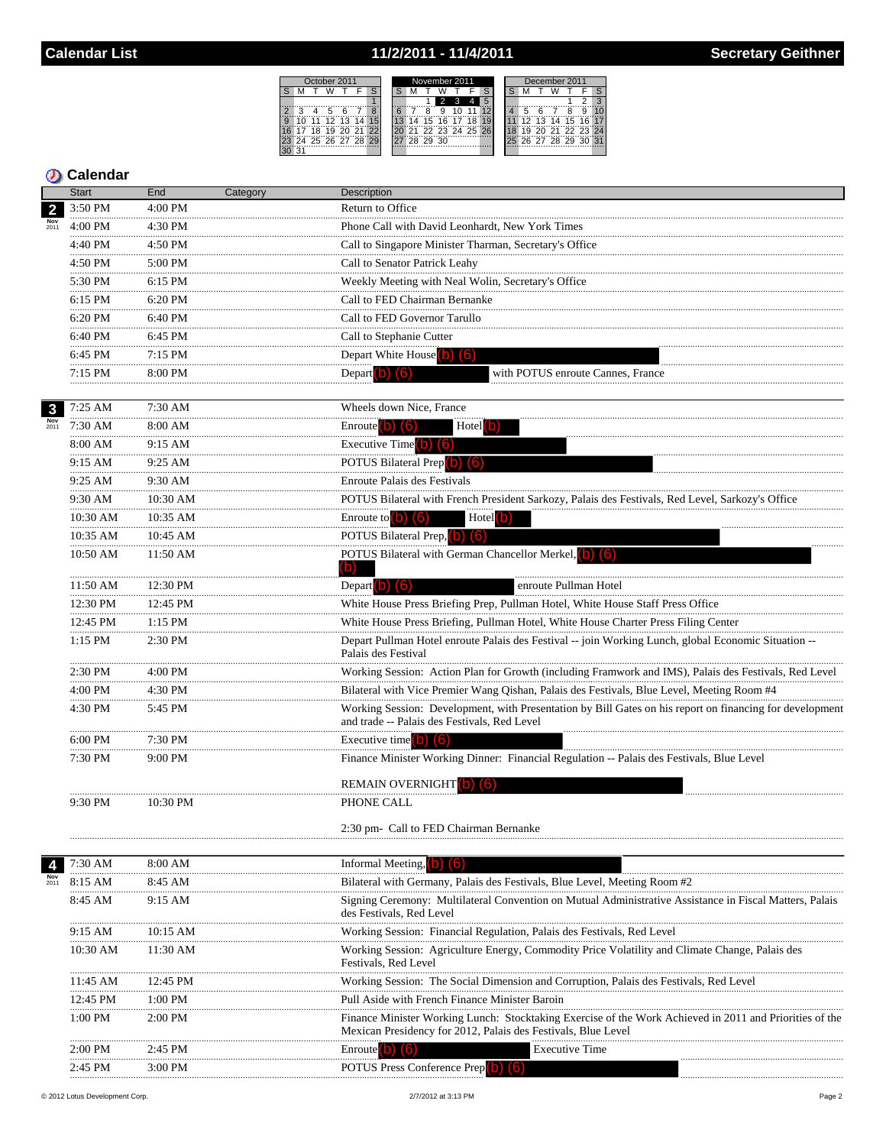## 11/2/2011 - 11/4/2011

| Ctober 2011 |  |   |             |    |    |  | November 2011 |  |    |    |    |                | December 2011 |  |  |  |    |     |       |    |            |  |
|-------------|--|---|-------------|----|----|--|---------------|--|----|----|----|----------------|---------------|--|--|--|----|-----|-------|----|------------|--|
|             |  |   |             |    |    |  |               |  |    |    |    |                |               |  |  |  |    |     |       |    |            |  |
|             |  |   |             |    |    |  |               |  |    |    |    |                |               |  |  |  |    |     |       |    |            |  |
|             |  |   | ∽           |    |    |  |               |  |    |    |    |                |               |  |  |  |    |     |       |    |            |  |
|             |  | 1 | 12          | 13 | 14 |  |               |  |    | 5  | 16 |                |               |  |  |  | ィっ | 13  | 14    | 15 |            |  |
|             |  |   | ä           |    |    |  |               |  |    |    |    | 22 23 24 25 26 |               |  |  |  |    |     |       |    | 71 72 73 7 |  |
|             |  |   | 24 25 26 27 |    | 28 |  |               |  | 28 | 29 | 30 |                |               |  |  |  | 26 | -27 | 28 29 |    |            |  |
|             |  |   |             |    |    |  |               |  |    |    |    |                |               |  |  |  |    |     |       |    |            |  |

|                | <b>Start</b>  | End       | Category | Description                                                                                                                                                              |  |  |  |  |  |  |  |  |
|----------------|---------------|-----------|----------|--------------------------------------------------------------------------------------------------------------------------------------------------------------------------|--|--|--|--|--|--|--|--|
| $\overline{2}$ | 3:50 PM       | 4:00 PM   |          | Return to Office                                                                                                                                                         |  |  |  |  |  |  |  |  |
|                | 4:00 PM       | 4:30 PM   |          | Phone Call with David Leonhardt, New York Times                                                                                                                          |  |  |  |  |  |  |  |  |
|                | 4:40 PM       | 4:50 PM   |          | Call to Singapore Minister Tharman, Secretary's Office                                                                                                                   |  |  |  |  |  |  |  |  |
|                | .<br>4:50 PM  | 5:00 PM   |          | Call to Senator Patrick Leahy                                                                                                                                            |  |  |  |  |  |  |  |  |
|                | .<br>5:30 PM  | 6:15 PM   |          | Weekly Meeting with Neal Wolin, Secretary's Office                                                                                                                       |  |  |  |  |  |  |  |  |
|                | .<br>6:15 PM  | 6:20 PM   |          | Call to FED Chairman Bernanke                                                                                                                                            |  |  |  |  |  |  |  |  |
|                | 6:20 PM       | 6:40 PM   |          | Call to FED Governor Tarullo                                                                                                                                             |  |  |  |  |  |  |  |  |
|                | 6:40 PM       | 6:45 PM   |          | Call to Stephanie Cutter<br>Depart White House <sup>(b)</sup><br>(6)                                                                                                     |  |  |  |  |  |  |  |  |
|                | .<br>6:45 PM  | $7:15$ PM |          |                                                                                                                                                                          |  |  |  |  |  |  |  |  |
|                | 7:15 PM       | 8:00 PM   |          | Depart <b>b</b> 6<br>with POTUS enroute Cannes, France                                                                                                                   |  |  |  |  |  |  |  |  |
|                |               |           |          |                                                                                                                                                                          |  |  |  |  |  |  |  |  |
| $\mathbf{3}$   | 7:25 AM       | 7:30 AM   |          | Wheels down Nice, France                                                                                                                                                 |  |  |  |  |  |  |  |  |
| 2011           | 7:30 AM       | 8:00 AM   |          | Enroute (b) (6)<br>$Hotel$ $\boxed{\bullet}$                                                                                                                             |  |  |  |  |  |  |  |  |
|                | 8:00 AM       | 9:15 AM   |          | Executive Time $(0)$ $(6)$                                                                                                                                               |  |  |  |  |  |  |  |  |
|                | 9:15 AM       | 9:25 AM   |          | POTUS Bilateral Prep (b) (6)                                                                                                                                             |  |  |  |  |  |  |  |  |
|                | .<br>9:25 AM  | 9:30 AM   |          | Enroute Palais des Festivals                                                                                                                                             |  |  |  |  |  |  |  |  |
|                | 9:30 AM       | 10:30 AM  |          | POTUS Bilateral with French President Sarkozy, Palais des Festivals, Red Level, Sarkozy's Office                                                                         |  |  |  |  |  |  |  |  |
|                | $10:30$ AM    | 10:35 AM  |          | Enroute to $(b)$ $(6)$<br>$Hotel$ <sup>(b)</sup>                                                                                                                         |  |  |  |  |  |  |  |  |
|                | 10:35 AM      | 10:45 AM  |          | POTUS Bilateral Prep, (b) (6)                                                                                                                                            |  |  |  |  |  |  |  |  |
|                | $10:50$ AM    | 11:50 AM  |          | POTUS Bilateral with German Chancellor Merkel, (b) (6)                                                                                                                   |  |  |  |  |  |  |  |  |
|                |               |           |          | (b)                                                                                                                                                                      |  |  |  |  |  |  |  |  |
|                | 11:50 AM<br>. | 12:30 PM  |          | Depart (b) $(6)$<br>enroute Pullman Hotel                                                                                                                                |  |  |  |  |  |  |  |  |
|                | 12:30 PM<br>. | 12:45 PM  |          | White House Press Briefing Prep, Pullman Hotel, White House Staff Press Office                                                                                           |  |  |  |  |  |  |  |  |
|                | 12:45 PM<br>. | $1:15$ PM |          | White House Press Briefing, Pullman Hotel, White House Charter Press Filing Center                                                                                       |  |  |  |  |  |  |  |  |
|                | 1:15 PM       | 2:30 PM   |          | Depart Pullman Hotel enroute Palais des Festival -- join Working Lunch, global Economic Situation --<br>Palais des Festival                                              |  |  |  |  |  |  |  |  |
|                | 2:30 PM       | $4:00$ PM |          | Working Session: Action Plan for Growth (including Framwork and IMS), Palais des Festivals, Red Level                                                                    |  |  |  |  |  |  |  |  |
|                | 4:00 PM       | 4:30 PM   |          | Bilateral with Vice Premier Wang Qishan, Palais des Festivals, Blue Level, Meeting Room #4                                                                               |  |  |  |  |  |  |  |  |
|                | 4:30 PM       | 5:45 PM   |          | Working Session: Development, with Presentation by Bill Gates on his report on financing for development<br>and trade -- Palais des Festivals, Red Level                 |  |  |  |  |  |  |  |  |
|                | 6:00 PM       | 7:30 PM   |          | Executive time $\begin{bmatrix} 0 \\ 0 \end{bmatrix}$ $\begin{bmatrix} 6 \\ 0 \end{bmatrix}$                                                                             |  |  |  |  |  |  |  |  |
|                | 7:30 PM       | 9:00 PM   |          | Finance Minister Working Dinner: Financial Regulation -- Palais des Festivals, Blue Level                                                                                |  |  |  |  |  |  |  |  |
|                |               |           |          | <b>REMAIN OVERNIGHT</b> [O]<br>16                                                                                                                                        |  |  |  |  |  |  |  |  |
|                | 9:30 PM       | 10:30 PM  |          | PHONE CALL                                                                                                                                                               |  |  |  |  |  |  |  |  |
|                |               |           |          | 2:30 pm- Call to FED Chairman Bernanke                                                                                                                                   |  |  |  |  |  |  |  |  |
|                | 7:30 AM       | 8:00 AM   |          | Informal Meeting, <b>b</b> (6)                                                                                                                                           |  |  |  |  |  |  |  |  |
|                | 8:15 AM       | 8:45 AM   |          | Bilateral with Germany, Palais des Festivals, Blue Level, Meeting Room #2                                                                                                |  |  |  |  |  |  |  |  |
|                | 8:45 AM       | 9:15 AM   |          | Signing Ceremony: Multilateral Convention on Mutual Administrative Assistance in Fiscal Matters, Palais<br>des Festivals, Red Level                                      |  |  |  |  |  |  |  |  |
|                | 9:15 AM       | 10:15 AM  |          | Working Session: Financial Regulation, Palais des Festivals, Red Level                                                                                                   |  |  |  |  |  |  |  |  |
|                | 10:30 AM      | 11:30 AM  |          | Working Session: Agriculture Energy, Commodity Price Volatility and Climate Change, Palais des<br>Festivals, Red Level                                                   |  |  |  |  |  |  |  |  |
|                | 11:45 AM      | 12:45 PM  |          | Working Session: The Social Dimension and Corruption, Palais des Festivals, Red Level                                                                                    |  |  |  |  |  |  |  |  |
|                | 12:45 PM      | $1:00$ PM |          | Pull Aside with French Finance Minister Baroin                                                                                                                           |  |  |  |  |  |  |  |  |
|                | 1:00 PM       | $2:00$ PM |          | Finance Minister Working Lunch: Stocktaking Exercise of the Work Achieved in 2011 and Priorities of the<br>Mexican Presidency for 2012, Palais des Festivals, Blue Level |  |  |  |  |  |  |  |  |
|                | $2:00$ PM     | $2:45$ PM |          | Enroute <sup>[0]</sup><br><b>Executive Time</b><br>(6)                                                                                                                   |  |  |  |  |  |  |  |  |
|                | 2:45 PM       | $3:00$ PM |          | POTUS Press Conference Prep(b) (6)                                                                                                                                       |  |  |  |  |  |  |  |  |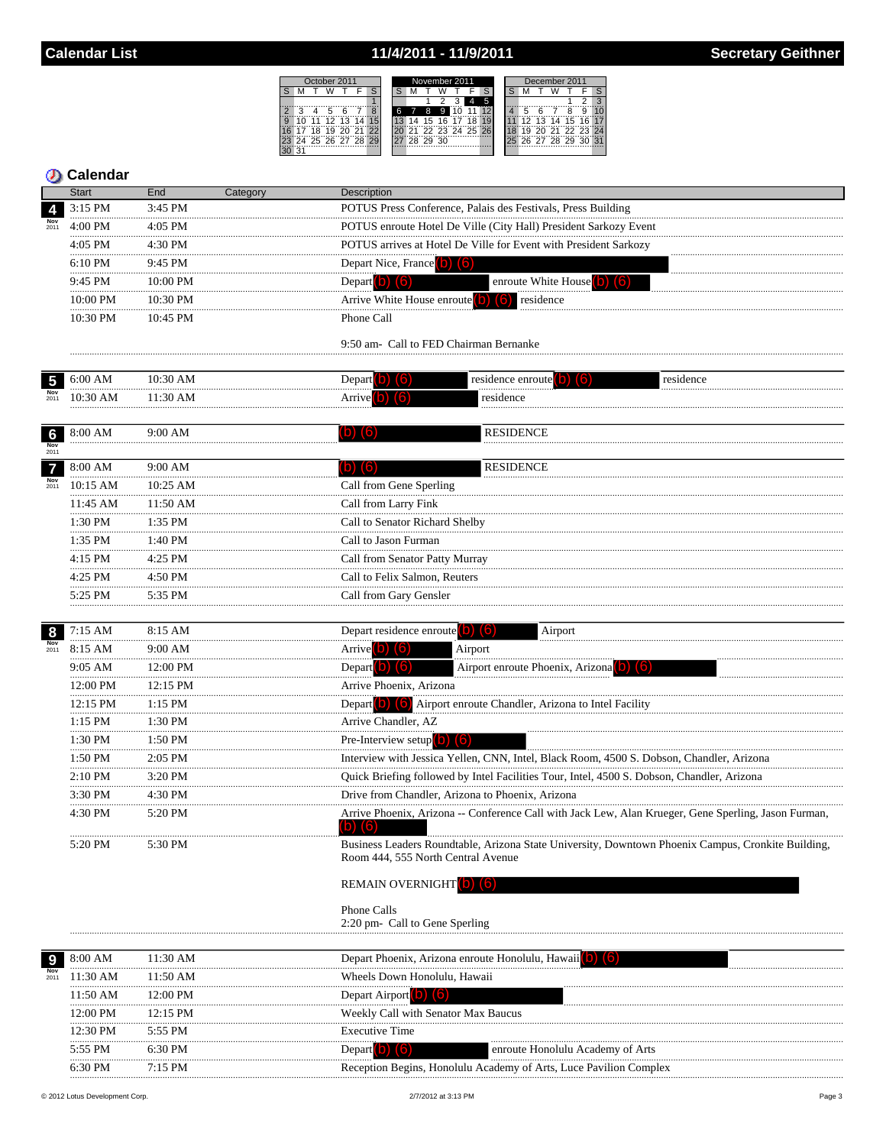## 11/4/2011 - 11/9/2011

| tober 2011:         | November 2011  | December 2011         |  |  |  |  |  |  |  |
|---------------------|----------------|-----------------------|--|--|--|--|--|--|--|
|                     |                |                       |  |  |  |  |  |  |  |
|                     |                |                       |  |  |  |  |  |  |  |
|                     | 9<br>հ<br>8    |                       |  |  |  |  |  |  |  |
| 0.11<br>12, 13      | 16 17<br>15    | 13 14 15 16 1<br>12   |  |  |  |  |  |  |  |
| - 21.<br>Ä<br>່າວ   | 22 23 24 25 26 | 20 21 22 23 24        |  |  |  |  |  |  |  |
| 4 25 26 27<br>28 29 | 29 30<br>28    | 26 27 28 29<br>ب≀ت ∪≿ |  |  |  |  |  |  |  |
|                     |                |                       |  |  |  |  |  |  |  |

| Calendar |  |  |
|----------|--|--|
|          |  |  |

|                           | <b>Start</b>     | End           | Category | Description                                                                                                                                 |
|---------------------------|------------------|---------------|----------|---------------------------------------------------------------------------------------------------------------------------------------------|
| 4                         | 3:15 PM          | 3:45 PM       |          | POTUS Press Conference, Palais des Festivals, Press Building                                                                                |
| $\frac{\text{Nov}}{2011}$ | 4:00 PM          | 4:05 PM       |          | POTUS enroute Hotel De Ville (City Hall) President Sarkozy Event                                                                            |
|                           | <br>4:05 PM      | 4:30 PM       |          | POTUS arrives at Hotel De Ville for Event with President Sarkozy                                                                            |
|                           | 6:10 PM          | 9:45 PM       |          | Depart Nice, France (b) (6)                                                                                                                 |
|                           | .<br>9:45 PM     | 10:00 PM      |          | enroute White House (b) (6)<br>Depart $(b)$ $(6)$                                                                                           |
|                           | 10:00 PM         | 10:30 PM      |          | Arrive White House enroute $(b)$ $(6)$ residence                                                                                            |
|                           | 10:30 PM         | 10:45 PM      |          | Phone Call                                                                                                                                  |
|                           |                  |               |          |                                                                                                                                             |
|                           |                  |               |          | 9:50 am- Call to FED Chairman Bernanke                                                                                                      |
| $\overline{5}$            | 6:00 AM          | 10:30 AM      |          | residence enroute <sup>[0]</sup><br>Depart <b>0</b><br>residence<br>Tol<br>(lo)                                                             |
|                           | 10:30 AM         | 11:30 AM      |          | residence<br><b>Arrive D</b>                                                                                                                |
|                           |                  |               |          |                                                                                                                                             |
| $6\phantom{1}6$           | 8:00 AM          | 9:00 AM       |          | <b>RESIDENCE</b><br>ID)<br>(b)                                                                                                              |
| Nov<br>2011               |                  |               |          |                                                                                                                                             |
| $\overline{7}$            | 8:00 AM          | 9:00 AM       |          | <b>RESIDENCE</b><br>(b) (6)                                                                                                                 |
| Nov<br>2011               | 10:15 AM         | $10:25$ AM    |          | Call from Gene Sperling                                                                                                                     |
|                           | 11:45 AM<br>     | 11:50 AM<br>  |          | Call from Larry Fink                                                                                                                        |
|                           | 1:30 PM          | 1:35 PM       |          | Call to Senator Richard Shelby                                                                                                              |
|                           | 1:35 PM          | 1:40 PM       |          | Call to Jason Furman                                                                                                                        |
|                           | <br>4:15 PM      | 4:25 PM       |          | Call from Senator Patty Murray                                                                                                              |
|                           | <br>4:25 PM      | 4:50 PM       |          | Call to Felix Salmon, Reuters                                                                                                               |
|                           | <br>5:25 PM<br>. | 5:35 PM       |          | Call from Gary Gensler                                                                                                                      |
|                           |                  |               |          |                                                                                                                                             |
| 8                         | 7:15 AM<br>.     | 8:15 AM<br>.  |          | Depart residence enroute $(b)$ $(6)$<br>Airport                                                                                             |
| Nov<br>2011               | 8:15 AM          | 9:00 AM       |          | Airport<br>Arrive (b) (6)                                                                                                                   |
|                           | 9:05 AM<br>      | 12:00 PM<br>. |          | Airport enroute Phoenix, Arizona<br>Depart $(b)$ $(6)$                                                                                      |
|                           | 12:00 PM         | 12:15 PM      |          | Arrive Phoenix, Arizona                                                                                                                     |
|                           | 12:15 PM<br>     | 1:15 PM       |          | Depart $\begin{pmatrix} 0 \\ 0 \end{pmatrix}$ $\begin{pmatrix} 6 \\ 0 \end{pmatrix}$<br>Airport enroute Chandler, Arizona to Intel Facility |
|                           | 1:15 PM<br>      | 1:30 PM<br>.  |          | Arrive Chandler, AZ                                                                                                                         |
|                           | 1:30 PM          | 1:50 PM       |          | Pre-Interview setup $\begin{pmatrix} 0 \\ 0 \end{pmatrix}$ $\begin{pmatrix} 6 \\ 0 \end{pmatrix}$                                           |
|                           | 1:50 PM<br>.     | 2:05 PM       |          | Interview with Jessica Yellen, CNN, Intel, Black Room, 4500 S. Dobson, Chandler, Arizona                                                    |
|                           | 2:10 PM<br>      | 3:20 PM       |          | Quick Briefing followed by Intel Facilities Tour, Intel, 4500 S. Dobson, Chandler, Arizona                                                  |
|                           | 3:30 PM          | 4:30 PM       |          | Drive from Chandler, Arizona to Phoenix, Arizona                                                                                            |
|                           | 4:30 PM          | 5:20 PM       |          | Arrive Phoenix, Arizona -- Conference Call with Jack Lew, Alan Krueger, Gene Sperling, Jason Furman,<br>$(b)$ $(6)$                         |
|                           | 5:20 PM          | 5:30 PM       |          | Business Leaders Roundtable, Arizona State University, Downtown Phoenix Campus, Cronkite Building,<br>Room 444, 555 North Central Avenue    |
|                           |                  |               |          | REMAIN OVERNIGHT (b) (6)                                                                                                                    |
|                           |                  |               |          | Phone Calls<br>2:20 pm- Call to Gene Sperling                                                                                               |
|                           | 8:00 AM          | 11:30 AM      |          | Depart Phoenix, Arizona enroute Honolulu, Hawaii                                                                                            |
| Nov<br>2011               | 11:30 AM         | 11:50 AM      |          | Wheels Down Honolulu, Hawaii                                                                                                                |
|                           | 11:50 AM         | 12:00 PM      |          | Depart Airport 0<br>(6)                                                                                                                     |
|                           | 12:00 PM         | 12:15 PM      |          | Weekly Call with Senator Max Baucus                                                                                                         |
|                           | <br>12:30 PM     | 5:55 PM       |          | <b>Executive Time</b>                                                                                                                       |
|                           | 5:55 PM          | 6:30 PM       |          | Depart <sup>(b)</sup><br>enroute Honolulu Academy of Arts<br>$\lceil 6 \rceil$                                                              |
|                           | 6:30 PM          | 7:15 PM       |          | Reception Begins, Honolulu Academy of Arts, Luce Pavilion Complex                                                                           |

Reception Begins, Honolulu Academy of Arts, Luce Pavilion Complex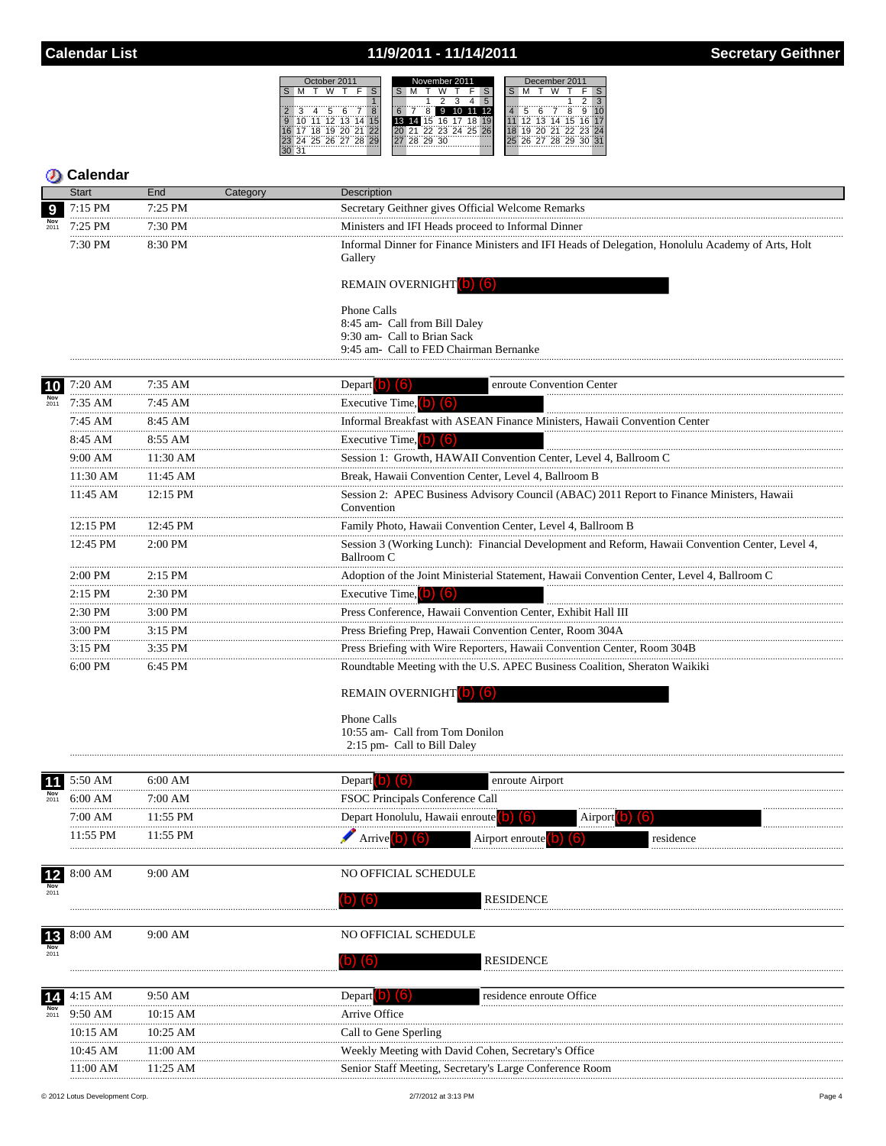#### 11/9/2011 - 11/14/2011



| <b>Start</b>               | End<br>Category | Description                                                                                                   |  |  |  |  |  |  |  |  |  |
|----------------------------|-----------------|---------------------------------------------------------------------------------------------------------------|--|--|--|--|--|--|--|--|--|
| 7:15 PM<br>9               | 7:25 PM         | Secretary Geithner gives Official Welcome Remarks                                                             |  |  |  |  |  |  |  |  |  |
| $7:25$ PM                  | 7:30 PM         | Ministers and IFI Heads proceed to Informal Dinner                                                            |  |  |  |  |  |  |  |  |  |
| 7:30 PM                    | 8:30 PM         | Informal Dinner for Finance Ministers and IFI Heads of Delegation, Honolulu Academy of Arts, Holt<br>Gallery  |  |  |  |  |  |  |  |  |  |
|                            |                 | REMAIN OVERNIGHT (b) (6)                                                                                      |  |  |  |  |  |  |  |  |  |
|                            |                 | Phone Calls                                                                                                   |  |  |  |  |  |  |  |  |  |
|                            |                 | 8:45 am- Call from Bill Daley<br>9:30 am- Call to Brian Sack                                                  |  |  |  |  |  |  |  |  |  |
|                            |                 | 9:45 am- Call to FED Chairman Bernanke                                                                        |  |  |  |  |  |  |  |  |  |
| 7:20 AM<br><b>10</b>       | 7:35 AM         | Depart $\vert$ b) $\vert$ (6)<br>enroute Convention Center                                                    |  |  |  |  |  |  |  |  |  |
| 7:35 AM                    | $7:45$ AM       | Executive Time, $\begin{pmatrix} 0 \\ 0 \end{pmatrix}$ $\begin{pmatrix} 6 \\ 0 \end{pmatrix}$                 |  |  |  |  |  |  |  |  |  |
| 7:45 AM                    | 8:45 AM         | Informal Breakfast with ASEAN Finance Ministers, Hawaii Convention Center                                     |  |  |  |  |  |  |  |  |  |
| <br>8:45 AM                | 8:55 AM         | Executive Time. $\Box$<br>(6)                                                                                 |  |  |  |  |  |  |  |  |  |
| <br>9:00 AM                | <br>11:30 AM    | Session 1: Growth, HAWAII Convention Center, Level 4, Ballroom C                                              |  |  |  |  |  |  |  |  |  |
| 11:30 AM                   | 11:45 AM        | Break, Hawaii Convention Center, Level 4, Ballroom B                                                          |  |  |  |  |  |  |  |  |  |
| <br>11:45 AM               | <br>12:15 PM    | Session 2: APEC Business Advisory Council (ABAC) 2011 Report to Finance Ministers, Hawaii<br>Convention       |  |  |  |  |  |  |  |  |  |
| 12:15 PM                   | 12:45 PM        | Family Photo, Hawaii Convention Center, Level 4, Ballroom B                                                   |  |  |  |  |  |  |  |  |  |
| <br>12:45 PM               | $2:00$ PM       | Session 3 (Working Lunch): Financial Development and Reform, Hawaii Convention Center, Level 4,<br>Ballroom C |  |  |  |  |  |  |  |  |  |
| $2:00$ PM                  | $2:15$ PM       | Adoption of the Joint Ministerial Statement, Hawaii Convention Center, Level 4, Ballroom C                    |  |  |  |  |  |  |  |  |  |
| $2:15$ PM                  | 2:30 PM         | Executive Time, o<br>lo.                                                                                      |  |  |  |  |  |  |  |  |  |
| .<br>2:30 PM               | 3:00 PM         | Press Conference, Hawaii Convention Center, Exhibit Hall III                                                  |  |  |  |  |  |  |  |  |  |
| .<br>3:00 PM               | 3:15 PM         | Press Briefing Prep, Hawaii Convention Center, Room 304A                                                      |  |  |  |  |  |  |  |  |  |
| .<br>$3:15$ PM             | 3:35 PM         | Press Briefing with Wire Reporters, Hawaii Convention Center, Room 304B                                       |  |  |  |  |  |  |  |  |  |
| $6:00$ PM                  | 6:45 PM         | Roundtable Meeting with the U.S. APEC Business Coalition, Sheraton Waikiki                                    |  |  |  |  |  |  |  |  |  |
|                            |                 | <b>REMAIN OVERNIGHT</b> (b) (6)                                                                               |  |  |  |  |  |  |  |  |  |
|                            |                 | Phone Calls<br>10:55 am- Call from Tom Donilon<br>2:15 pm- Call to Bill Daley                                 |  |  |  |  |  |  |  |  |  |
| 5:50 AM                    | 6:00 AM         | enroute Airport<br>Depart <b>O</b>                                                                            |  |  |  |  |  |  |  |  |  |
| 6:00 AM                    | 7:00 AM         | FSOC Principals Conference Call                                                                               |  |  |  |  |  |  |  |  |  |
| 7:00 AM                    | 11:55 PM        | Depart Honolulu, Hawaii enroute<br>Airport 0                                                                  |  |  |  |  |  |  |  |  |  |
| 11:55 PM                   | 11:55 PM        | Arrive <sup>(b)</sup><br>residence<br>Airport enroute                                                         |  |  |  |  |  |  |  |  |  |
| 8:00 AM                    | 9:00 AM         | NO OFFICIAL SCHEDULE                                                                                          |  |  |  |  |  |  |  |  |  |
| $\frac{12}{N_{\text{OV}}}$ |                 |                                                                                                               |  |  |  |  |  |  |  |  |  |
|                            |                 | $(b)$ $(6)$<br><b>RESIDENCE</b>                                                                               |  |  |  |  |  |  |  |  |  |
| 8:00 AM<br>$13$            | 9:00 AM         | NO OFFICIAL SCHEDULE                                                                                          |  |  |  |  |  |  |  |  |  |
| Nov<br>2011                |                 | <b>RESIDENCE</b><br>$\lceil 6 \rceil$<br>O                                                                    |  |  |  |  |  |  |  |  |  |
| 4:15 AM                    | 9:50 AM         | Depart<br>residence enroute Office                                                                            |  |  |  |  |  |  |  |  |  |
| 9:50 AM                    | 10:15 AM        | Arrive Office                                                                                                 |  |  |  |  |  |  |  |  |  |
| 10:15 AM                   | 10:25 AM        | Call to Gene Sperling                                                                                         |  |  |  |  |  |  |  |  |  |

10:45 AM

 $11:00~\mathrm{AM}$ 

11:25 AM

Weekly Meeting with David Cohen, Secretary's Office

Senior Staff Meeting, Secretary's Large Conference Room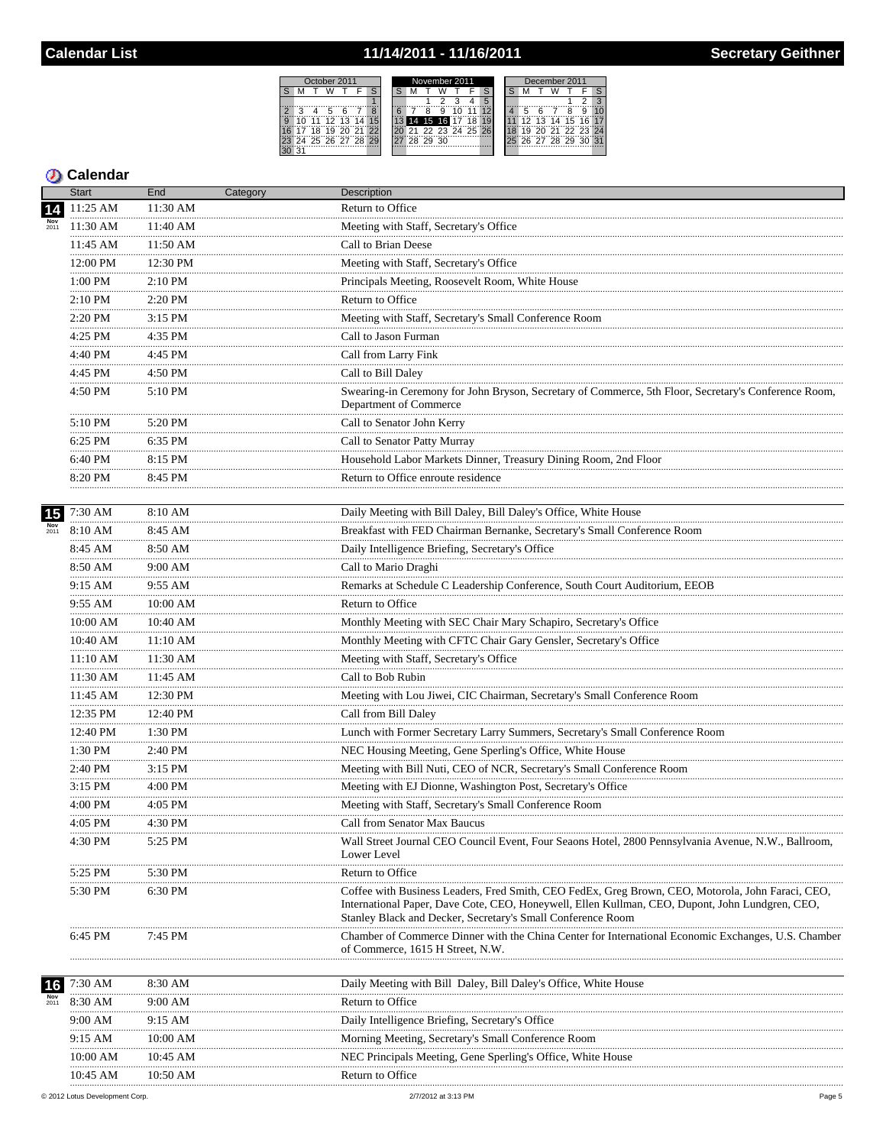## 11/14/2011 - 11/16/2011

 $S$   $M$ 

30 31

2 3 4 5<br>
9 10 11 12<br>
16 17 18 19<br>
23 24 25 26

| November 2011<br>October 2011<br>December 2011<br>5                       |  |  |  |  |  |  |  |  |
|---------------------------------------------------------------------------|--|--|--|--|--|--|--|--|
|                                                                           |  |  |  |  |  |  |  |  |
|                                                                           |  |  |  |  |  |  |  |  |
|                                                                           |  |  |  |  |  |  |  |  |
| З<br>9                                                                    |  |  |  |  |  |  |  |  |
| 12 13 14 15 16 17<br>14 15 16 17 18<br>$12$ 13 14<br>۱O<br>11<br>15<br>11 |  |  |  |  |  |  |  |  |
| 21 22 23 24 25 26<br>20 21 22 23 24<br>"18"<br>20 21 22<br>19<br>19       |  |  |  |  |  |  |  |  |
| 24 25 26 27 28 29<br>25 26 27 28 29 30 31<br>28 29 30                     |  |  |  |  |  |  |  |  |
|                                                                           |  |  |  |  |  |  |  |  |

|             | <b>Start</b> | End          | Category | Description                                                                                                                                                                                                                                                         |
|-------------|--------------|--------------|----------|---------------------------------------------------------------------------------------------------------------------------------------------------------------------------------------------------------------------------------------------------------------------|
| 14          | 11:25 AM     | 11:30 AM     |          | Return to Office                                                                                                                                                                                                                                                    |
|             | 11:30 AM     | 11:40 AM     |          | Meeting with Staff, Secretary's Office                                                                                                                                                                                                                              |
|             | 11:45 AM     | 11:50 AM     |          | Call to Brian Deese                                                                                                                                                                                                                                                 |
|             | 12:00 PM     | 12:30 PM     |          | Meeting with Staff, Secretary's Office                                                                                                                                                                                                                              |
|             | .<br>1:00 PM | 2:10 PM      |          | Principals Meeting, Roosevelt Room, White House                                                                                                                                                                                                                     |
|             | .<br>2:10 PM | 2:20 PM      |          | Return to Office                                                                                                                                                                                                                                                    |
|             | .<br>2:20 PM | .<br>3:15 PM |          | Meeting with Staff, Secretary's Small Conference Room                                                                                                                                                                                                               |
|             | .<br>4:25 PM | .<br>4:35 PM |          | Call to Jason Furman                                                                                                                                                                                                                                                |
|             | 4:40 PM      | 4:45 PM      |          | Call from Larry Fink                                                                                                                                                                                                                                                |
|             | .<br>4:45 PM | .<br>4:50 PM |          | Call to Bill Daley                                                                                                                                                                                                                                                  |
|             | 4:50 PM      | 5:10 PM      |          | Swearing-in Ceremony for John Bryson, Secretary of Commerce, 5th Floor, Secretary's Conference Room,<br>Department of Commerce                                                                                                                                      |
|             | 5:10 PM      | 5:20 PM      |          | Call to Senator John Kerry                                                                                                                                                                                                                                          |
|             | 6:25 PM      | 6:35 PM      |          | Call to Senator Patty Murray                                                                                                                                                                                                                                        |
|             | <br>6:40 PM  | .<br>8:15 PM |          | Household Labor Markets Dinner, Treasury Dining Room, 2nd Floor                                                                                                                                                                                                     |
|             | 8:20 PM      | 8:45 PM      |          | Return to Office enroute residence                                                                                                                                                                                                                                  |
|             |              | .            |          |                                                                                                                                                                                                                                                                     |
| 15          | 7:30 AM      | 8:10 AM      |          | Daily Meeting with Bill Daley, Bill Daley's Office, White House                                                                                                                                                                                                     |
|             | 8:10 AM      | 8:45 AM      |          | Breakfast with FED Chairman Bernanke, Secretary's Small Conference Room                                                                                                                                                                                             |
|             | 8:45 AM      | 8:50 AM      |          | Daily Intelligence Briefing, Secretary's Office                                                                                                                                                                                                                     |
|             | 8:50 AM      | 9:00 AM      |          | Call to Mario Draghi                                                                                                                                                                                                                                                |
|             | 9:15 AM      | 9:55 AM      |          | Remarks at Schedule C Leadership Conference, South Court Auditorium, EEOB                                                                                                                                                                                           |
|             | .<br>9:55 AM | 10:00 AM     |          | Return to Office                                                                                                                                                                                                                                                    |
|             | 10:00 AM     | 10:40 AM     |          | Monthly Meeting with SEC Chair Mary Schapiro, Secretary's Office                                                                                                                                                                                                    |
|             | 10:40 AM     | 11:10 AM     |          | Monthly Meeting with CFTC Chair Gary Gensler, Secretary's Office                                                                                                                                                                                                    |
|             | 11:10 AM     | 11:30 AM     |          | Meeting with Staff, Secretary's Office                                                                                                                                                                                                                              |
|             | 11:30 AM     | 11:45 AM     |          | Call to Bob Rubin                                                                                                                                                                                                                                                   |
|             | 11:45 AM     | 12:30 PM     |          | Meeting with Lou Jiwei, CIC Chairman, Secretary's Small Conference Room                                                                                                                                                                                             |
|             | 12:35 PM     | 12:40 PM     |          | Call from Bill Daley                                                                                                                                                                                                                                                |
|             | 12:40 PM     | 1:30 PM      |          | Lunch with Former Secretary Larry Summers, Secretary's Small Conference Room                                                                                                                                                                                        |
|             | 1:30 PM      | 2:40 PM      |          | NEC Housing Meeting, Gene Sperling's Office, White House                                                                                                                                                                                                            |
|             | 2:40 PM      | 3:15 PM      |          | Meeting with Bill Nuti, CEO of NCR, Secretary's Small Conference Room                                                                                                                                                                                               |
|             | 3:15 PM      | 4:00 PM      |          | Meeting with EJ Dionne, Washington Post, Secretary's Office                                                                                                                                                                                                         |
|             | 4:00 PM      | $4:05$ PM    |          | Meeting with Staff, Secretary's Small Conference Room                                                                                                                                                                                                               |
|             | 4:05 PM      | 4:30 PM      |          | Call from Senator Max Baucus                                                                                                                                                                                                                                        |
|             | 4:30 PM      | 5:25 PM      |          | Wall Street Journal CEO Council Event, Four Seaons Hotel, 2800 Pennsylvania Avenue, N.W., Ballroom,<br>Lower Level                                                                                                                                                  |
|             | 5:25 PM      | 5:30 PM      |          | Return to Office                                                                                                                                                                                                                                                    |
|             | 5:30 PM      | 6:30 PM      |          | Coffee with Business Leaders, Fred Smith, CEO FedEx, Greg Brown, CEO, Motorola, John Faraci, CEO,<br>International Paper, Dave Cote, CEO, Honeywell, Ellen Kullman, CEO, Dupont, John Lundgren, CEO,<br>Stanley Black and Decker, Secretary's Small Conference Room |
|             | 6:45 PM      | 7:45 PM      |          | Chamber of Commerce Dinner with the China Center for International Economic Exchanges, U.S. Chamber<br>of Commerce, 1615 H Street, N.W.                                                                                                                             |
| 16          | 7:30 AM      | 8:30 AM      |          | Daily Meeting with Bill Daley, Bill Daley's Office, White House                                                                                                                                                                                                     |
| Nov<br>2011 | 8:30 AM      | 9:00 AM      |          | Return to Office                                                                                                                                                                                                                                                    |
|             | 9:00 AM      | 9:15 AM      |          | Daily Intelligence Briefing, Secretary's Office                                                                                                                                                                                                                     |
|             | 9:15 AM      | $10:00$ AM   |          | Morning Meeting, Secretary's Small Conference Room                                                                                                                                                                                                                  |
|             | 10:00 AM     | 10:45 AM     |          | NEC Principals Meeting, Gene Sperling's Office, White House                                                                                                                                                                                                         |
|             | 10:45 AM     | 10:50 AM     |          | Return to Office                                                                                                                                                                                                                                                    |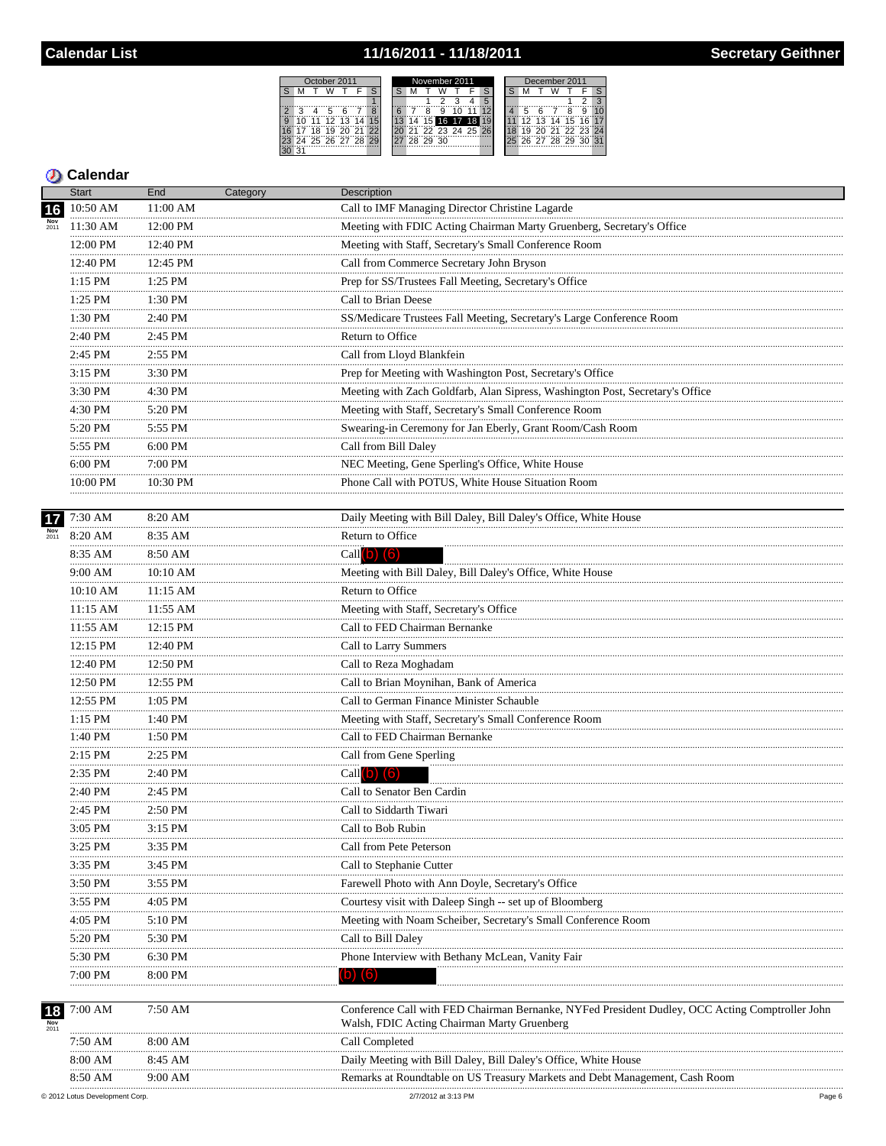## 11/16/2011 - 11/18/2011

| )ctober 2011 |    |    |          |        |       |  | November 2011 |  |    |     |                   |  |  | December 2011 |    |  |  |                |  |    |
|--------------|----|----|----------|--------|-------|--|---------------|--|----|-----|-------------------|--|--|---------------|----|--|--|----------------|--|----|
|              |    |    |          |        |       |  |               |  |    |     |                   |  |  |               |    |  |  |                |  |    |
|              |    |    |          |        |       |  |               |  |    |     |                   |  |  |               |    |  |  |                |  |    |
|              |    |    |          |        |       |  |               |  |    |     |                   |  |  |               |    |  |  |                |  |    |
|              |    | 11 |          | 12, 13 | 14    |  |               |  |    |     | 15 16 17 18       |  |  |               | 12 |  |  | 13 14 15 16    |  | 17 |
|              |    |    |          |        | 21.22 |  |               |  |    |     | $722$ 23 24 25 26 |  |  |               |    |  |  | 20 21 22 23 24 |  |    |
| 23           | 24 |    | 25 26 27 |        | 28 29 |  |               |  | 29 | -30 |                   |  |  |               | 26 |  |  | 27 28 29 30 31 |  |    |
|              |    |    |          |        |       |  |               |  |    |     |                   |  |  |               |    |  |  |                |  |    |

|                           | <b>Start</b>  | End          | Category | Description                                                                                                                                    |
|---------------------------|---------------|--------------|----------|------------------------------------------------------------------------------------------------------------------------------------------------|
| 16                        | 10:50 AM      | 11:00 AM     |          | Call to IMF Managing Director Christine Lagarde                                                                                                |
|                           | 11:30 AM      | 12:00 PM     |          | Meeting with FDIC Acting Chairman Marty Gruenberg, Secretary's Office                                                                          |
|                           | 12:00 PM      | 12:40 PM     |          | Meeting with Staff, Secretary's Small Conference Room                                                                                          |
|                           | 12:40 PM      | 12:45 PM     |          | Call from Commerce Secretary John Bryson                                                                                                       |
|                           | $1:15$ PM     | 1:25 PM      |          | Prep for SS/Trustees Fall Meeting, Secretary's Office                                                                                          |
|                           | 1:25 PM       | 1:30 PM      |          | Call to Brian Deese                                                                                                                            |
|                           | 1:30 PM       | 2:40 PM      |          | SS/Medicare Trustees Fall Meeting, Secretary's Large Conference Room                                                                           |
|                           | .<br>2:40 PM  | .<br>2:45 PM |          | <b>Return to Office</b>                                                                                                                        |
|                           | .<br>2:45 PM  | 2:55 PM      |          | Call from Lloyd Blankfein                                                                                                                      |
|                           | 3:15 PM       | 3:30 PM      |          | Prep for Meeting with Washington Post, Secretary's Office                                                                                      |
|                           | .<br>3:30 PM  | 4:30 PM      |          | Meeting with Zach Goldfarb, Alan Sipress, Washington Post, Secretary's Office                                                                  |
|                           | .<br>4:30 PM  | 5:20 PM      |          | Meeting with Staff, Secretary's Small Conference Room                                                                                          |
|                           | 5:20 PM       | 5:55 PM      |          | Swearing-in Ceremony for Jan Eberly, Grant Room/Cash Room                                                                                      |
|                           | .<br>5:55 PM  | 6:00 PM      |          | Call from Bill Daley                                                                                                                           |
|                           | 6:00 PM       | 7:00 PM      |          | NEC Meeting, Gene Sperling's Office, White House                                                                                               |
|                           | 10:00 PM      | 10:30 PM     |          | Phone Call with POTUS, White House Situation Room                                                                                              |
|                           |               |              |          |                                                                                                                                                |
| 17                        | 7:30 AM       | 8:20 AM      |          | Daily Meeting with Bill Daley, Bill Daley's Office, White House                                                                                |
| $\frac{\text{Nov}}{2011}$ | 8:20 AM       | .<br>8:35 AM |          | Return to Office                                                                                                                               |
|                           | 8:35 AM       | 8:50 AM      |          | Call $(b)$ $(6)$                                                                                                                               |
|                           | 9:00 AM       | 10:10 AM     |          | Meeting with Bill Daley, Bill Daley's Office, White House                                                                                      |
|                           | 10:10 AM      | 11:15 AM     |          | Return to Office                                                                                                                               |
|                           | 11:15 AM      | 11:55 AM     |          | Meeting with Staff, Secretary's Office                                                                                                         |
|                           | 11:55 AM      | 12:15 PM     |          | Call to FED Chairman Bernanke                                                                                                                  |
|                           | 12:15 PM      | 12:40 PM     |          | Call to Larry Summers                                                                                                                          |
|                           | 12:40 PM      | 12:50 PM     |          | Call to Reza Moghadam                                                                                                                          |
|                           | .<br>12:50 PM | 12:55 PM     |          | Call to Brian Moynihan, Bank of America                                                                                                        |
|                           | .<br>12:55 PM | .<br>1:05 PM |          | Call to German Finance Minister Schauble                                                                                                       |
|                           | .<br>1:15 PM  | 1:40 PM      |          | Meeting with Staff, Secretary's Small Conference Room                                                                                          |
|                           | 1:40 PM       | 1:50 PM      |          | Call to FED Chairman Bernanke                                                                                                                  |
|                           | .<br>2:15 PM  | 2:25 PM      |          | Call from Gene Sperling                                                                                                                        |
|                           | 2:35 PM       | 2:40 PM      |          | Call $(b)$ $(6)$                                                                                                                               |
|                           | .<br>2:40 PM  | 2:45 PM      |          | Call to Senator Ben Cardin                                                                                                                     |
|                           | 2:45 PM       | 2:50 PM      |          | Call to Siddarth Tiwari                                                                                                                        |
|                           | 3:05 PM       | 3:15 PM      |          | Call to Bob Rubin                                                                                                                              |
|                           | <br>3:25 PM   | <br>3:35 PM  |          | Call from Pete Peterson                                                                                                                        |
|                           | 3:35 PM       | 3:45 PM      |          | Call to Stephanie Cutter                                                                                                                       |
|                           | 3:50 PM       | 3:55 PM      |          | Farewell Photo with Ann Doyle, Secretary's Office                                                                                              |
|                           | 3:55 PM       | 4:05 PM      |          | Courtesy visit with Daleep Singh -- set up of Bloomberg                                                                                        |
|                           | 4:05 PM       | 5:10 PM      |          | Meeting with Noam Scheiber, Secretary's Small Conference Room                                                                                  |
|                           | 5:20 PM       | 5:30 PM      |          | Call to Bill Daley                                                                                                                             |
|                           | 5:30 PM       | 6:30 PM      |          | Phone Interview with Bethany McLean, Vanity Fair                                                                                               |
|                           | 7:00 PM       | 8:00 PM      |          | D)                                                                                                                                             |
|                           |               |              |          |                                                                                                                                                |
| 18<br>Nov<br>2011         | 7:00 AM       | 7:50 AM      |          | Conference Call with FED Chairman Bernanke, NYFed President Dudley, OCC Acting Comptroller John<br>Walsh, FDIC Acting Chairman Marty Gruenberg |
|                           | 7:50 AM       | 8:00 AM      |          | Call Completed                                                                                                                                 |
|                           | 8:00 AM       | 8:45 AM      |          | Daily Meeting with Bill Daley, Bill Daley's Office, White House                                                                                |
|                           | 8:50 AM       | 9:00 AM      |          | Remarks at Roundtable on US Treasury Markets and Debt Management. Cash Room                                                                    |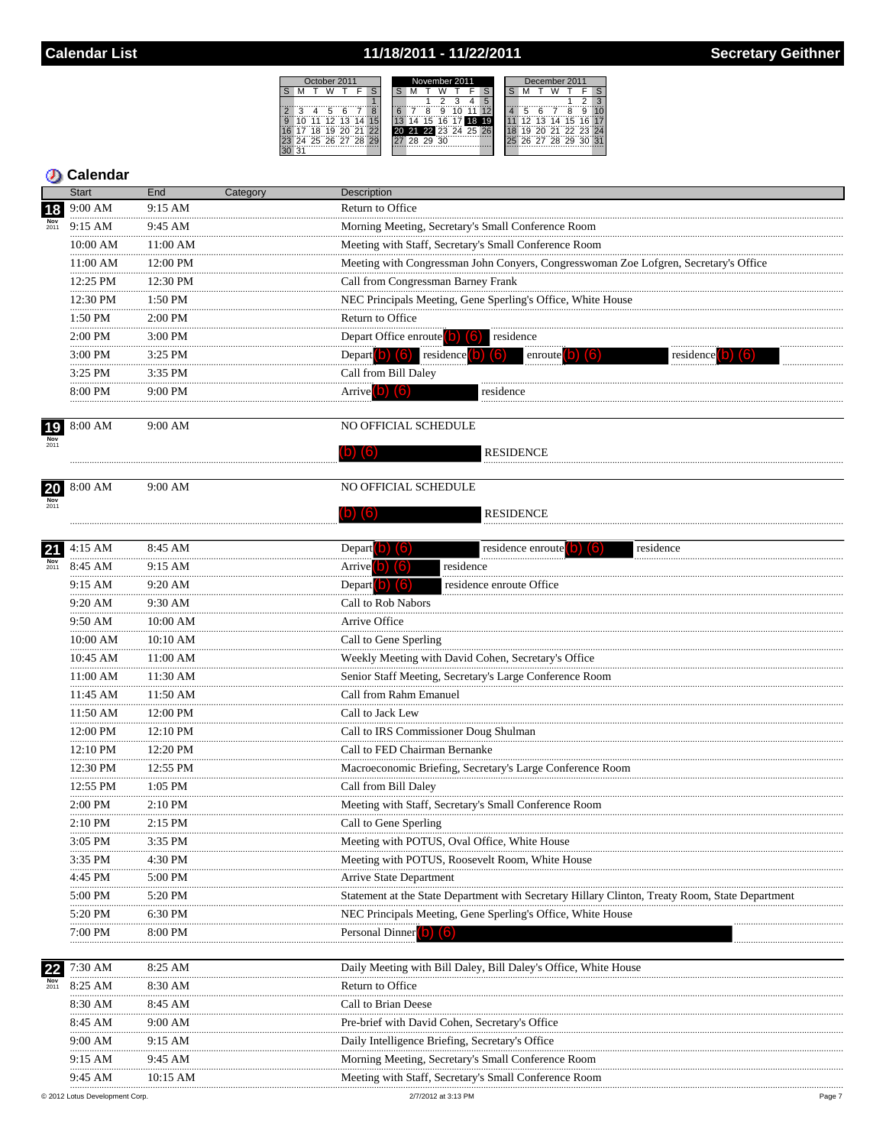# 11/18/2011 - 11/22/2011

| October 2011 |   |    |                |    |  |    | November 2011 |  |       |    |  |                   |                 | December 2011 |    |    |                |  |                 |    |  |
|--------------|---|----|----------------|----|--|----|---------------|--|-------|----|--|-------------------|-----------------|---------------|----|----|----------------|--|-----------------|----|--|
|              |   |    |                |    |  |    |               |  |       |    |  |                   |                 |               |    |    |                |  |                 |    |  |
|              |   |    |                |    |  |    |               |  |       |    |  |                   | 5               |               |    |    |                |  |                 |    |  |
|              | ີ |    |                |    |  |    |               |  |       |    |  |                   |                 |               |    |    |                |  | 9               |    |  |
|              |   |    | 12             | 13 |  |    |               |  |       | 16 |  |                   |                 |               | 12 | 13 | 14 15          |  | 16 <sup>1</sup> | 17 |  |
|              |   | ΪŘ |                | ∂ö |  | っつ |               |  |       |    |  | 20 21 22 23 24 25 | $\overline{26}$ |               |    |    | 20 21 22 23 24 |  |                 |    |  |
|              |   |    | 24 25 26 27 28 |    |  |    |               |  | 28 29 | 30 |  |                   |                 |               |    |    | 26 27 28 29 30 |  |                 | 31 |  |
|              |   |    |                |    |  |    |               |  |       |    |  |                   |                 |               |    |    |                |  |                 |    |  |

|             | <b>Start</b>         | End          | Category | Description                                                                                     |
|-------------|----------------------|--------------|----------|-------------------------------------------------------------------------------------------------|
| 18          | 9:00 AM              | 9:15 AM      |          | Return to Office                                                                                |
|             | 9:15 AM              | 9:45 AM      |          | Morning Meeting, Secretary's Small Conference Room                                              |
|             | 10:00 AM             | 11:00 AM     |          | Meeting with Staff, Secretary's Small Conference Room                                           |
|             | 11:00 AM             | 12:00 PM     |          | Meeting with Congressman John Conyers, Congresswoman Zoe Lofgren, Secretary's Office            |
|             | 12:25 PM             | 12:30 PM     |          | Call from Congressman Barney Frank                                                              |
|             | <br>12:30 PM         | 1:50 PM      |          | NEC Principals Meeting, Gene Sperling's Office, White House                                     |
|             | .<br>1:50 PM         | 2:00 PM      |          | Return to Office                                                                                |
|             | <br>2:00 PM          | 3:00 PM      |          | Depart Office enroute $\begin{pmatrix} 0 \\ 0 \end{pmatrix}$ (6) residence                      |
|             | <br>3:00 PM          | 3:25 PM      |          | Depart $(b)$ $(6)$ residence $(b)$<br>(6)<br>enroute <sup>[0]</sup><br>residence <sup>[0]</sup> |
|             | .<br>3:25 PM         | .<br>3:35 PM |          | Call from Bill Daley                                                                            |
|             | 8:00 PM              | 9:00 PM      |          | Arrive $\left( b\right)$ $\left( 6\right)$<br>residence                                         |
|             |                      |              |          |                                                                                                 |
| 19          | 8:00 AM              | 9:00 AM      |          | NO OFFICIAL SCHEDULE                                                                            |
|             |                      |              |          | <b>RESIDENCE</b><br>(16)                                                                        |
|             |                      |              |          |                                                                                                 |
| 20          | 8:00 AM              | 9:00 AM      |          | NO OFFICIAL SCHEDULE                                                                            |
| Nov<br>2011 |                      |              |          |                                                                                                 |
|             |                      |              |          | <b>RESIDENCE</b><br>(16)<br>ID)                                                                 |
|             |                      |              |          |                                                                                                 |
| 21          | 4:15 AM              | 8:45 AM      |          | residence enroute (b) (6)<br>Depart <b>D</b><br>residence<br>llo.<br>residence                  |
| 2011        | 8:45 AM              | 9:15 AM      |          | Arrive <sup>(b)</sup> (6)                                                                       |
|             | 9:15 AM<br>          | 9:20 AM      |          | Depart $\vert$ b) $\vert$ (6)<br>residence enroute Office                                       |
|             | 9:20 AM              | 9:30 AM      |          | Call to Rob Nabors                                                                              |
|             | 9:50 AM<br>          | 10:00 AM<br> |          | Arrive Office                                                                                   |
|             | $10:00$ AM           | 10:10 AM     |          | Call to Gene Sperling                                                                           |
|             | 10:45 AM<br>         | 11:00 AM     |          | Weekly Meeting with David Cohen, Secretary's Office                                             |
|             | 11:00 AM             | 11:30 AM     |          | Senior Staff Meeting, Secretary's Large Conference Room                                         |
|             | 11:45 AM             | 11:50 AM     |          | Call from Rahm Emanuel                                                                          |
|             | 11:50 AM             | 12:00 PM     |          | Call to Jack Lew                                                                                |
|             | 12:00 PM             | 12:10 PM     |          | Call to IRS Commissioner Doug Shulman                                                           |
|             | 12:10 PM<br>12:30 PM | 12:20 PM     |          | Call to FED Chairman Bernanke                                                                   |
|             |                      | 12:55 PM     |          | Macroeconomic Briefing, Secretary's Large Conference Room                                       |
|             | 12:55 PM             | 1:05 PM      |          | Call from Bill Daley                                                                            |
|             | 2:00 PM              | 2:10 PM      |          | Meeting with Staff, Secretary's Small Conference Room                                           |
|             | 2:10 PM              | 2:15 PM      |          | Call to Gene Sperling                                                                           |
|             | 3:05 PM              | 3:35 PM      |          | Meeting with POTUS, Oval Office, White House                                                    |
|             | 3:35 PM              | 4:30 PM      |          | Meeting with POTUS, Roosevelt Room, White House                                                 |
|             | 4:45 PM              | 5:00 PM      |          | Arrive State Department                                                                         |
|             | 5:00 PM              | 5:20 PM      |          | Statement at the State Department with Secretary Hillary Clinton, Treaty Room, State Department |
|             | 5:20 PM              | 6:30 PM      |          | NEC Principals Meeting, Gene Sperling's Office, White House                                     |
|             | 7:00 PM              | 8:00 PM      |          | Personal Dinner (0) (6)                                                                         |
| 22          | 7:30 AM              | 8:25 AM      |          | Daily Meeting with Bill Daley, Bill Daley's Office, White House                                 |
| Nov<br>2011 | 8:25 AM              | 8:30 AM      |          | Return to Office                                                                                |
|             | 8:30 AM              | 8:45 AM      |          | Call to Brian Deese                                                                             |
|             | 8:45 AM              | 9:00 AM      |          | Pre-brief with David Cohen, Secretary's Office                                                  |
|             | 9:00 AM              | 9:15 AM      |          | Daily Intelligence Briefing, Secretary's Office                                                 |
|             | 9:15 AM              | 9:45 AM      |          | Morning Meeting, Secretary's Small Conference Room                                              |
|             | 9:45 AM              | 10:15 AM     |          | Meeting with Staff, Secretary's Small Conference Room                                           |
|             |                      |              |          |                                                                                                 |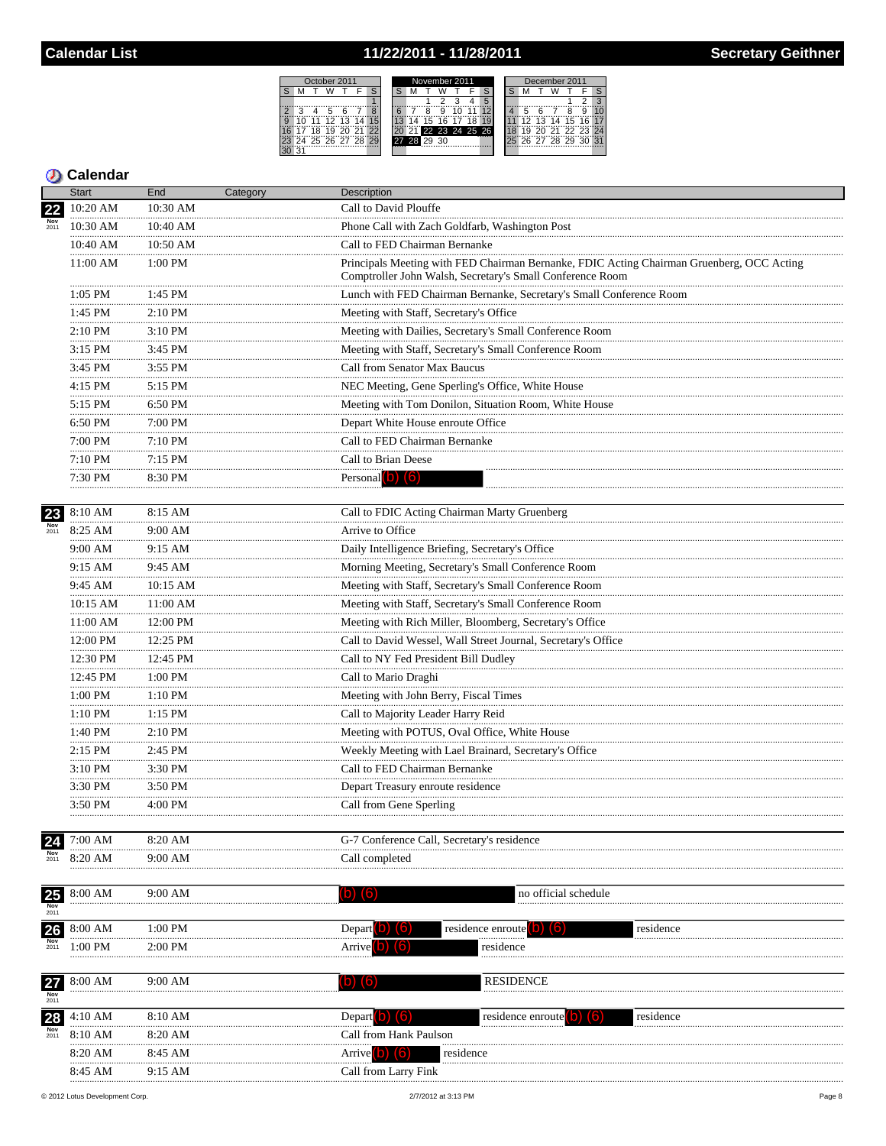## 11/22/2011 - 11/28/2011

| October 2011                | November 2011  | December 2011        |  |  |  |  |  |  |
|-----------------------------|----------------|----------------------|--|--|--|--|--|--|
| S                           |                |                      |  |  |  |  |  |  |
|                             |                |                      |  |  |  |  |  |  |
|                             |                |                      |  |  |  |  |  |  |
| 12<br>12<br>g               |                | 15<br>14             |  |  |  |  |  |  |
| ゚ゔ                          | 22 23 24 25 26 | 71.22.23             |  |  |  |  |  |  |
| 28<br>29<br>25<br>.97<br>26 | 30             | 28 29<br>26 27<br>30 |  |  |  |  |  |  |
| 21                          |                |                      |  |  |  |  |  |  |

|             | <b>Start</b>    | End            | Category | Description                                                                                                                                            |
|-------------|-----------------|----------------|----------|--------------------------------------------------------------------------------------------------------------------------------------------------------|
|             | 10:20 AM        | 10:30 AM       |          | Call to David Plouffe                                                                                                                                  |
| Nov<br>2011 | 10:30 AM        | 10:40 AM       |          | Phone Call with Zach Goldfarb, Washington Post                                                                                                         |
|             | 10:40 AM        | 10:50 AM       |          | Call to FED Chairman Bernanke                                                                                                                          |
|             | 11:00 AM        | 1:00 PM        |          | Principals Meeting with FED Chairman Bernanke, FDIC Acting Chairman Gruenberg, OCC Acting<br>Comptroller John Walsh, Secretary's Small Conference Room |
|             | 1:05 PM         | 1:45 PM        |          | Lunch with FED Chairman Bernanke, Secretary's Small Conference Room                                                                                    |
|             | <br>1:45 PM     | 2:10 PM        |          | Meeting with Staff, Secretary's Office                                                                                                                 |
|             | <br>2:10 PM     | 3:10 PM        |          | Meeting with Dailies, Secretary's Small Conference Room                                                                                                |
|             | 3:15 PM         | 3:45 PM        |          | Meeting with Staff, Secretary's Small Conference Room                                                                                                  |
|             | <br>3:45 PM     | 3:55 PM        |          | Call from Senator Max Baucus                                                                                                                           |
|             | <br>4:15 PM     | $5:15$ PM      |          | NEC Meeting, Gene Sperling's Office, White House                                                                                                       |
|             | <br>5:15 PM     | .<br>6:50 PM   |          | Meeting with Tom Donilon, Situation Room, White House                                                                                                  |
|             | <br>6:50 PM     | 7:00 PM        |          | Depart White House enroute Office                                                                                                                      |
|             | <br>7:00 PM     | .<br>7:10 PM   |          | Call to FED Chairman Bernanke                                                                                                                          |
|             | <br>7:10 PM     | 7:15 PM        |          | Call to Brian Deese                                                                                                                                    |
|             | 7:30 PM         | 8:30 PM        |          | Personal $\begin{pmatrix} 0 \\ 0 \end{pmatrix}$ $\begin{pmatrix} 6 \\ 0 \end{pmatrix}$                                                                 |
|             |                 |                |          |                                                                                                                                                        |
| 23          | 8:10 AM         | 8:15 AM        |          | Call to FDIC Acting Chairman Marty Gruenberg                                                                                                           |
| Nov<br>2011 | 8:25 AM         | 9:00 AM        |          | Arrive to Office                                                                                                                                       |
|             | 9:00 AM<br>.    | 9:15 AM        |          | Daily Intelligence Briefing, Secretary's Office                                                                                                        |
|             | 9:15 AM         | 9:45 AM        |          | Morning Meeting, Secretary's Small Conference Room                                                                                                     |
|             | <br>9:45 AM<br> | 10:15 AM       |          | Meeting with Staff, Secretary's Small Conference Room                                                                                                  |
|             | $10:15$ AM      | <br>11:00 AM   |          | Meeting with Staff, Secretary's Small Conference Room                                                                                                  |
|             | <br>11:00 AM    | 12:00 PM       |          | Meeting with Rich Miller, Bloomberg, Secretary's Office                                                                                                |
|             | <br>12:00 PM    | 12:25 PM       |          | Call to David Wessel, Wall Street Journal, Secretary's Office                                                                                          |
|             | 12:30 PM        | 12:45 PM       |          | Call to NY Fed President Bill Dudley                                                                                                                   |
|             | <br>12:45 PM    | .<br>$1:00$ PM |          | Call to Mario Draghi                                                                                                                                   |
|             | 1:00 PM         | 1:10 PM        |          | Meeting with John Berry, Fiscal Times                                                                                                                  |
|             | .<br>1:10 PM    | 1:15 PM        |          | Call to Majority Leader Harry Reid                                                                                                                     |
|             | <br>1:40 PM     | 2:10 PM        |          | Meeting with POTUS, Oval Office, White House                                                                                                           |
|             | <br>2:15 PM     | 2:45 PM        |          | Weekly Meeting with Lael Brainard, Secretary's Office                                                                                                  |
|             | <br>$3:10$ PM   | .<br>3:30 PM   |          | Call to FED Chairman Bernanke                                                                                                                          |
|             | <br>3:30 PM     | 3:50 PM        |          | Depart Treasury enroute residence                                                                                                                      |
|             | 3:50 PM         | 4:00 PM        |          | Call from Gene Sperling                                                                                                                                |
| 24          | 7:00 AM         | 8:20 AM        |          | G-7 Conference Call, Secretary's residence                                                                                                             |
|             | 8:20 AM         | 9:00 AM        |          | Call completed                                                                                                                                         |
|             |                 |                |          |                                                                                                                                                        |
| 25          | 8:00 AM         | 9:00 AM        |          | no official schedule<br>$\overline{O}$<br>(lo                                                                                                          |
| Nov<br>2011 |                 |                |          |                                                                                                                                                        |
| 26          | 8:00 AM         | $1:00$ PM      |          | residence enroute<br>Depart<br>residence                                                                                                               |
| 2011        | 1:00 PM         | 2:00 PM        |          | residence<br>Arrive                                                                                                                                    |
|             |                 |                |          |                                                                                                                                                        |
| 27          | 8:00 AM         | 9:00 AM        |          | <b>RESIDENCE</b><br>(b) (6)                                                                                                                            |
| 2011<br>28  | 4:10 AM         | 8:10 AM        |          | Depart $\begin{pmatrix} 0 \\ 0 \end{pmatrix}$ $\begin{pmatrix} 6 \\ 0 \end{pmatrix}$<br>residence enrou<br>residence                                   |
| 2011        | 8:10 AM         | 8:20 AM        |          | Call from Hank Paulson                                                                                                                                 |
|             | 8:20 AM         | 8:45 AM        |          | Arrive $(b)$ $(6)$<br>residence                                                                                                                        |
|             | 8:45 AM         | 9:15 AM        |          | Call from Larry Fink                                                                                                                                   |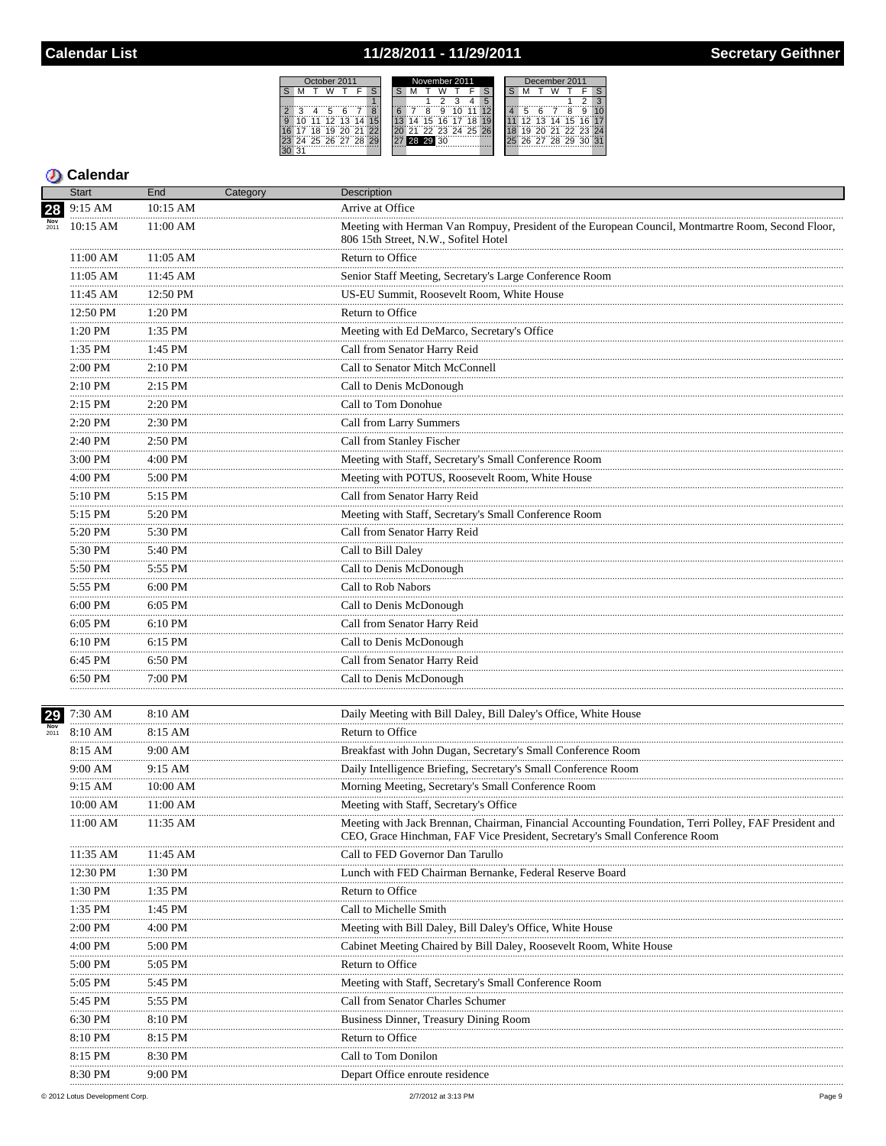# 11/28/2011 - 11/29/2011

 $S$   $M$ 

30 31

2 3 4 5<br>
9 10 11 12<br>
16 17 18 19<br>
23 24 25 26

| October 2011 |     |                   |                 |        |  |  | November 2011 |    |                |  |       |  |   |  | December 2011 |    |    |  |  |                   |  |  |
|--------------|-----|-------------------|-----------------|--------|--|--|---------------|----|----------------|--|-------|--|---|--|---------------|----|----|--|--|-------------------|--|--|
|              |     |                   |                 |        |  |  |               |    |                |  |       |  |   |  |               |    |    |  |  |                   |  |  |
|              |     |                   |                 |        |  |  |               |    |                |  |       |  | 5 |  |               |    |    |  |  |                   |  |  |
| З            |     | ҕ                 |                 |        |  |  |               |    |                |  |       |  |   |  |               |    |    |  |  | a                 |  |  |
| $\Omega$     | 11  | 12                | $\overline{13}$ | 14     |  |  |               |    | $15^{\circ}$   |  | 16 17 |  |   |  |               | 12 | 13 |  |  | 14 15 16 17       |  |  |
|              | ΊÄ. |                   |                 | "21 22 |  |  |               | 21 | 22 23 24 25 26 |  |       |  |   |  |               |    |    |  |  | 20 21 22 23 24    |  |  |
|              |     | 24 25 26 27 28 29 |                 |        |  |  |               |    | 28 29 30       |  |       |  |   |  |               |    |    |  |  | 26 27 28 29 30 31 |  |  |
|              |     |                   |                 |        |  |  |               |    |                |  |       |  |   |  |               |    |    |  |  |                   |  |  |
|              |     |                   |                 |        |  |  |               |    |                |  |       |  |   |  |               |    |    |  |  |                   |  |  |

|             | <b>Start</b>             | End          | Category | <b>Description</b>                                                                                                                                                                  |
|-------------|--------------------------|--------------|----------|-------------------------------------------------------------------------------------------------------------------------------------------------------------------------------------|
| 28          | 9:15 AM                  | 10:15 AM     |          | Arrive at Office                                                                                                                                                                    |
|             | 10:15 AM                 | $11:00$ AM   |          | Meeting with Herman Van Rompuy, President of the European Council, Montmartre Room, Second Floor,<br>806 15th Street, N.W., Sofitel Hotel                                           |
|             | 11:00 AM                 | $11:05$ AM   |          | Return to Office                                                                                                                                                                    |
|             | <br>11:05 AM             | 11:45 AM     |          | Senior Staff Meeting, Secretary's Large Conference Room                                                                                                                             |
|             | <br>11:45 AM             | 12:50 PM     |          | US-EU Summit, Roosevelt Room, White House                                                                                                                                           |
|             | .<br>12:50 PM            | .<br>1:20 PM |          | Return to Office                                                                                                                                                                    |
|             | 1:20 PM                  | 1:35 PM      |          | Meeting with Ed DeMarco, Secretary's Office                                                                                                                                         |
|             | .<br>1:35 PM             | .<br>1:45 PM |          | Call from Senator Harry Reid                                                                                                                                                        |
|             | .<br>2:00 PM             | 2:10 PM      |          | Call to Senator Mitch McConnell                                                                                                                                                     |
|             | <br>2:10 PM              | 2:15 PM      |          | Call to Denis McDonough                                                                                                                                                             |
|             | .<br>2:15 PM             | 2:20 PM      |          | Call to Tom Donohue                                                                                                                                                                 |
|             | <br>$2:20$ PM            | 2:30 PM      |          | Call from Larry Summers                                                                                                                                                             |
|             | .<br>2:40 PM             | 2:50 PM      |          | Call from Stanley Fischer                                                                                                                                                           |
|             | .<br>3:00 PM             | 4:00 PM      |          | Meeting with Staff, Secretary's Small Conference Room                                                                                                                               |
|             | .<br>4:00 PM             | .<br>5:00 PM |          | Meeting with POTUS, Roosevelt Room, White House                                                                                                                                     |
|             | .<br>$5:10\ \mathrm{PM}$ | 5:15 PM      |          | Call from Senator Harry Reid                                                                                                                                                        |
|             | .<br>5:15 PM             | 5:20 PM      |          | Meeting with Staff, Secretary's Small Conference Room                                                                                                                               |
|             | 5:20 PM                  | 5:30 PM      |          | Call from Senator Harry Reid                                                                                                                                                        |
|             | 5:30 PM                  | 5:40 PM      |          | Call to Bill Daley                                                                                                                                                                  |
|             | .<br>5:50 PM             | 5:55 PM      |          | Call to Denis McDonough                                                                                                                                                             |
|             | 5:55 PM                  | 6:00 PM      |          | Call to Rob Nabors                                                                                                                                                                  |
|             | .<br>6:00 PM             | .<br>6:05 PM |          | Call to Denis McDonough                                                                                                                                                             |
|             | .<br>6:05 PM             | 6:10 PM      |          |                                                                                                                                                                                     |
|             | <br>6:10 PM              | .<br>6:15 PM |          | Call from Senator Harry Reid<br>Call to Denis McDonough                                                                                                                             |
|             | 6:45 PM                  | 6:50 PM      |          | Call from Senator Harry Reid                                                                                                                                                        |
|             | 6:50 PM                  | 7:00 PM      |          | Call to Denis McDonough                                                                                                                                                             |
|             |                          |              |          |                                                                                                                                                                                     |
| 29          | $7:30~\mathrm{AM}$       | 8:10 AM      |          | Daily Meeting with Bill Daley, Bill Daley's Office, White House                                                                                                                     |
| Nov<br>2011 | 8:10 AM                  | 8:15 AM      |          | Return to Office                                                                                                                                                                    |
|             | 8:15 AM                  | 9:00 AM      |          | Breakfast with John Dugan, Secretary's Small Conference Room                                                                                                                        |
|             | 9:00 AM                  | 9:15 AM      |          | Daily Intelligence Briefing, Secretary's Small Conference Room                                                                                                                      |
|             | 9:15 AM                  | 10:00 AM     |          | Morning Meeting, Secretary's Small Conference Room                                                                                                                                  |
|             | 10:00 AM                 | 11:00 AM     |          | Meeting with Staff, Secretary's Office                                                                                                                                              |
|             | 11:00 AM                 | 11:35 AM     |          | Meeting with Jack Brennan, Chairman, Financial Accounting Foundation, Terri Polley, FAF President and<br>CEO, Grace Hinchman, FAF Vice President, Secretary's Small Conference Room |
|             | 11:35 AM                 | $11:45$ AM   |          | Call to FED Governor Dan Tarullo                                                                                                                                                    |
|             | 12:30 PM                 | 1:30 PM      |          | Lunch with FED Chairman Bernanke, Federal Reserve Board                                                                                                                             |
|             | <br>1:30 PM              | $1:35$ PM    |          | Return to Office                                                                                                                                                                    |
|             | 1:35 PM                  | 1:45 PM      |          | Call to Michelle Smith                                                                                                                                                              |
|             | $2:00$ PM                | 4:00 PM      |          | Meeting with Bill Daley, Bill Daley's Office, White House                                                                                                                           |
|             | 4:00 PM                  | 5:00 PM      |          | Cabinet Meeting Chaired by Bill Daley, Roosevelt Room, White House                                                                                                                  |
|             | 5:00 PM                  | 5:05 PM      |          | Return to Office                                                                                                                                                                    |
|             | 5:05 PM                  | 5:45 PM      |          | Meeting with Staff, Secretary's Small Conference Room                                                                                                                               |
|             | 5:45 PM                  | 5:55 PM      |          | Call from Senator Charles Schumer                                                                                                                                                   |
|             | 6:30 PM                  | 8:10 PM      |          | Business Dinner, Treasury Dining Room                                                                                                                                               |
|             | 8:10 PM                  | 8:15 PM      |          | Return to Office                                                                                                                                                                    |
|             | 8:15 PM                  | 8:30 PM      |          | Call to Tom Donilon                                                                                                                                                                 |
|             | 8:30 PM                  | 9:00 PM      |          | Depart Office enroute residence                                                                                                                                                     |